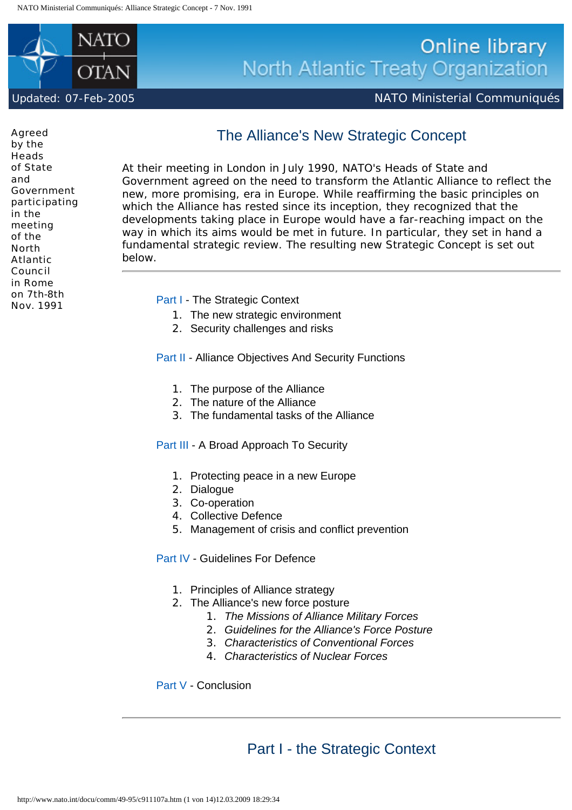

# **Online library** North Atlantic Treaty Organization

Updated: 07-Feb-2005 **NATO Ministerial Communiqués** 

Agreed by the **Heads** of State and Government participating in the meeting of the North Atlantic Council in Rome on 7th-8th Nov. 1991

# The Alliance's New Strategic Concept

At their meeting in London in July 1990, NATO's Heads of State and Government agreed on the need to transform the Atlantic Alliance to reflect the new, more promising, era in Europe. While reaffirming the basic principles on which the Alliance has rested since its inception, they recognized that the developments taking place in Europe would have a far-reaching impact on the way in which its aims would be met in future. In particular, they set in hand a fundamental strategic review. The resulting new Strategic Concept is set out below.

- [Part I](#page-0-0)  The Strategic Context
	- 1. The new strategic environment
	- 2. Security challenges and risks

[Part II](#page-3-0) - Alliance Objectives And Security Functions

- 1. The purpose of the Alliance
- 2. The nature of the Alliance
- 3. The fundamental tasks of the Alliance

[Part III](#page-4-0) - A Broad Approach To Security

- 1. Protecting peace in a new Europe
- 2. Dialogue
- 3. Co-operation
- 4. Collective Defence
- 5. Management of crisis and conflict prevention

[Part IV](#page-7-0) - Guidelines For Defence

- 1. Principles of Alliance strategy
- 2. The Alliance's new force posture
	- 1. *The Missions of Alliance Military Forces*
	- 2. *Guidelines for the Alliance's Force Posture*
	- 3. *Characteristics of Conventional Forces*
	- 4. *Characteristics of Nuclear Forces*

<span id="page-0-0"></span>[Part V](#page-12-0) - Conclusion

Part I - the Strategic Context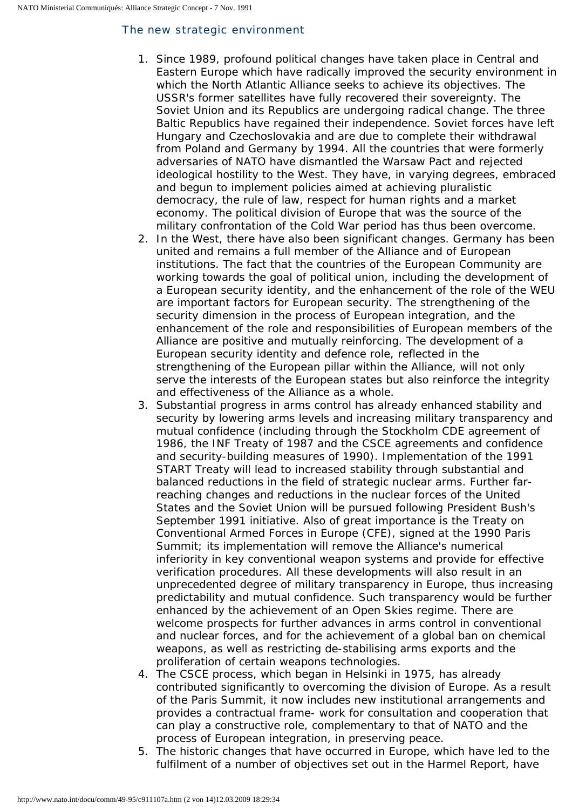#### The new strategic environment

- 1. Since 1989, profound political changes have taken place in Central and Eastern Europe which have radically improved the security environment in which the North Atlantic Alliance seeks to achieve its objectives. The USSR's former satellites have fully recovered their sovereignty. The Soviet Union and its Republics are undergoing radical change. The three Baltic Republics have regained their independence. Soviet forces have left Hungary and Czechoslovakia and are due to complete their withdrawal from Poland and Germany by 1994. All the countries that were formerly adversaries of NATO have dismantled the Warsaw Pact and rejected ideological hostility to the West. They have, in varying degrees, embraced and begun to implement policies aimed at achieving pluralistic democracy, the rule of law, respect for human rights and a market economy. The political division of Europe that was the source of the military confrontation of the Cold War period has thus been overcome.
- 2. In the West, there have also been significant changes. Germany has been united and remains a full member of the Alliance and of European institutions. The fact that the countries of the European Community are working towards the goal of political union, including the development of a European security identity, and the enhancement of the role of the WEU are important factors for European security. The strengthening of the security dimension in the process of European integration, and the enhancement of the role and responsibilities of European members of the Alliance are positive and mutually reinforcing. The development of a European security identity and defence role, reflected in the strengthening of the European pillar within the Alliance, will not only serve the interests of the European states but also reinforce the integrity and effectiveness of the Alliance as a whole.
- 3. Substantial progress in arms control has already enhanced stability and security by lowering arms levels and increasing military transparency and mutual confidence (including through the Stockholm CDE agreement of 1986, the INF Treaty of 1987 and the CSCE agreements and confidence and security-building measures of 1990). Implementation of the 1991 START Treaty will lead to increased stability through substantial and balanced reductions in the field of strategic nuclear arms. Further farreaching changes and reductions in the nuclear forces of the United States and the Soviet Union will be pursued following President Bush's September 1991 initiative. Also of great importance is the Treaty on Conventional Armed Forces in Europe (CFE), signed at the 1990 Paris Summit; its implementation will remove the Alliance's numerical inferiority in key conventional weapon systems and provide for effective verification procedures. All these developments will also result in an unprecedented degree of military transparency in Europe, thus increasing predictability and mutual confidence. Such transparency would be further enhanced by the achievement of an Open Skies regime. There are welcome prospects for further advances in arms control in conventional and nuclear forces, and for the achievement of a global ban on chemical weapons, as well as restricting de-stabilising arms exports and the proliferation of certain weapons technologies.
- 4. The CSCE process, which began in Helsinki in 1975, has already contributed significantly to overcoming the division of Europe. As a result of the Paris Summit, it now includes new institutional arrangements and provides a contractual frame- work for consultation and cooperation that can play a constructive role, complementary to that of NATO and the process of European integration, in preserving peace.
- 5. The historic changes that have occurred in Europe, which have led to the fulfilment of a number of objectives set out in the Harmel Report, have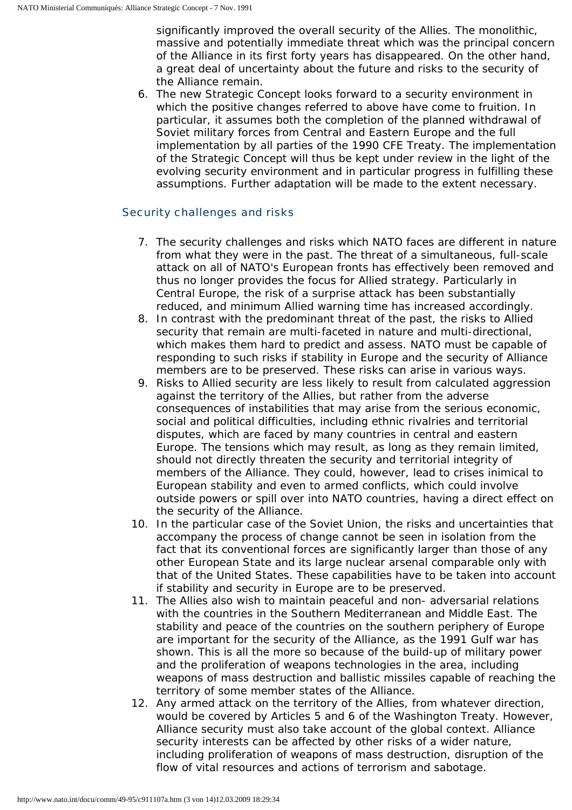significantly improved the overall security of the Allies. The monolithic, massive and potentially immediate threat which was the principal concern of the Alliance in its first forty years has disappeared. On the other hand, a great deal of uncertainty about the future and risks to the security of the Alliance remain.

6. The new Strategic Concept looks forward to a security environment in which the positive changes referred to above have come to fruition. In particular, it assumes both the completion of the planned withdrawal of Soviet military forces from Central and Eastern Europe and the full implementation by all parties of the 1990 CFE Treaty. The implementation of the Strategic Concept will thus be kept under review in the light of the evolving security environment and in particular progress in fulfilling these assumptions. Further adaptation will be made to the extent necessary.

#### Security challenges and risks

- 7. The security challenges and risks which NATO faces are different in nature from what they were in the past. The threat of a simultaneous, full-scale attack on all of NATO's European fronts has effectively been removed and thus no longer provides the focus for Allied strategy. Particularly in Central Europe, the risk of a surprise attack has been substantially reduced, and minimum Allied warning time has increased accordingly.
- 8. In contrast with the predominant threat of the past, the risks to Allied security that remain are multi-faceted in nature and multi-directional, which makes them hard to predict and assess. NATO must be capable of responding to such risks if stability in Europe and the security of Alliance members are to be preserved. These risks can arise in various ways.
- 9. Risks to Allied security are less likely to result from calculated aggression against the territory of the Allies, but rather from the adverse consequences of instabilities that may arise from the serious economic, social and political difficulties, including ethnic rivalries and territorial disputes, which are faced by many countries in central and eastern Europe. The tensions which may result, as long as they remain limited, should not directly threaten the security and territorial integrity of members of the Alliance. They could, however, lead to crises inimical to European stability and even to armed conflicts, which could involve outside powers or spill over into NATO countries, having a direct effect on the security of the Alliance.
- 10. In the particular case of the Soviet Union, the risks and uncertainties that accompany the process of change cannot be seen in isolation from the fact that its conventional forces are significantly larger than those of any other European State and its large nuclear arsenal comparable only with that of the United States. These capabilities have to be taken into account if stability and security in Europe are to be preserved.
- 11. The Allies also wish to maintain peaceful and non- adversarial relations with the countries in the Southern Mediterranean and Middle East. The stability and peace of the countries on the southern periphery of Europe are important for the security of the Alliance, as the 1991 Gulf war has shown. This is all the more so because of the build-up of military power and the proliferation of weapons technologies in the area, including weapons of mass destruction and ballistic missiles capable of reaching the territory of some member states of the Alliance.
- 12. Any armed attack on the territory of the Allies, from whatever direction, would be covered by Articles 5 and 6 of the Washington Treaty. However, Alliance security must also take account of the global context. Alliance security interests can be affected by other risks of a wider nature, including proliferation of weapons of mass destruction, disruption of the flow of vital resources and actions of terrorism and sabotage.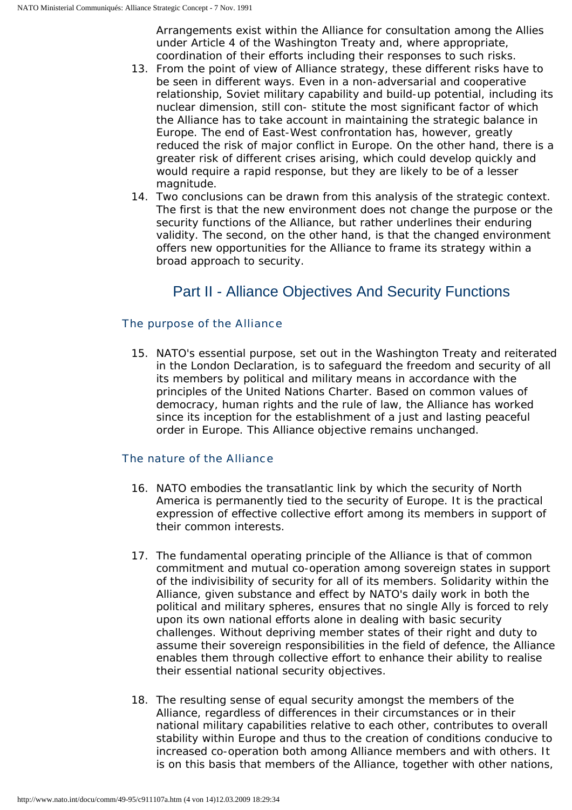Arrangements exist within the Alliance for consultation among the Allies under Article 4 of the Washington Treaty and, where appropriate, coordination of their efforts including their responses to such risks.

- 13. From the point of view of Alliance strategy, these different risks have to be seen in different ways. Even in a non-adversarial and cooperative relationship, Soviet military capability and build-up potential, including its nuclear dimension, still con- stitute the most significant factor of which the Alliance has to take account in maintaining the strategic balance in Europe. The end of East-West confrontation has, however, greatly reduced the risk of major conflict in Europe. On the other hand, there is a greater risk of different crises arising, which could develop quickly and would require a rapid response, but they are likely to be of a lesser magnitude.
- 14. Two conclusions can be drawn from this analysis of the strategic context. The first is that the new environment does not change the purpose or the security functions of the Alliance, but rather underlines their enduring validity. The second, on the other hand, is that the changed environment offers new opportunities for the Alliance to frame its strategy within a broad approach to security.

# Part II - Alliance Objectives And Security Functions

### <span id="page-3-0"></span>The purpose of the Alliance

15. NATO's essential purpose, set out in the Washington Treaty and reiterated in the London Declaration, is to safeguard the freedom and security of all its members by political and military means in accordance with the principles of the United Nations Charter. Based on common values of democracy, human rights and the rule of law, the Alliance has worked since its inception for the establishment of a just and lasting peaceful order in Europe. This Alliance objective remains unchanged.

#### The nature of the Alliance

- 16. NATO embodies the transatlantic link by which the security of North America is permanently tied to the security of Europe. It is the practical expression of effective collective effort among its members in support of their common interests.
- 17. The fundamental operating principle of the Alliance is that of common commitment and mutual co-operation among sovereign states in support of the indivisibility of security for all of its members. Solidarity within the Alliance, given substance and effect by NATO's daily work in both the political and military spheres, ensures that no single Ally is forced to rely upon its own national efforts alone in dealing with basic security challenges. Without depriving member states of their right and duty to assume their sovereign responsibilities in the field of defence, the Alliance enables them through collective effort to enhance their ability to realise their essential national security objectives.
- 18. The resulting sense of equal security amongst the members of the Alliance, regardless of differences in their circumstances or in their national military capabilities relative to each other, contributes to overall stability within Europe and thus to the creation of conditions conducive to increased co-operation both among Alliance members and with others. It is on this basis that members of the Alliance, together with other nations,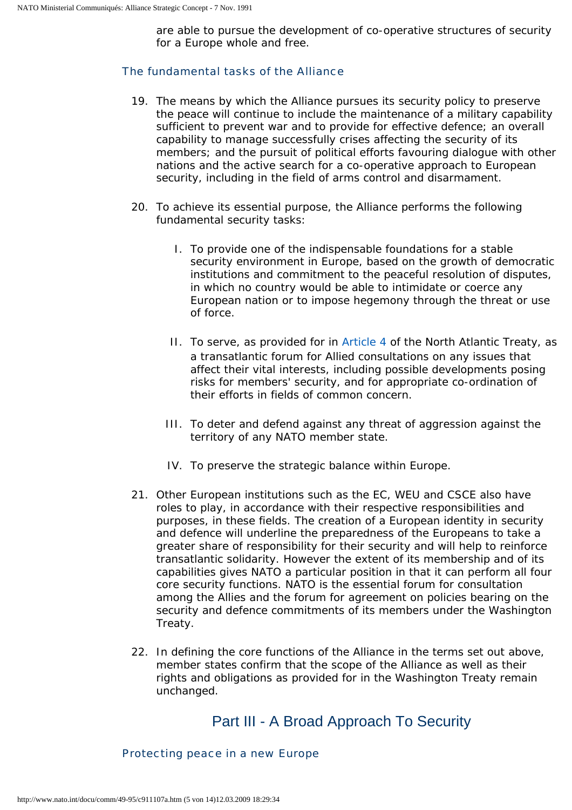are able to pursue the development of co-operative structures of security for a Europe whole and free.

#### The fundamental tasks of the Alliance

- 19. The means by which the Alliance pursues its security policy to preserve the peace will continue to include the maintenance of a military capability sufficient to prevent war and to provide for effective defence; an overall capability to manage successfully crises affecting the security of its members; and the pursuit of political efforts favouring dialogue with other nations and the active search for a co-operative approach to European security, including in the field of arms control and disarmament.
- 20. To achieve its essential purpose, the Alliance performs the following fundamental security tasks:
	- I. To provide one of the indispensable foundations for a stable security environment in Europe, based on the growth of democratic institutions and commitment to the peaceful resolution of disputes, in which no country would be able to intimidate or coerce any European nation or to impose hegemony through the threat or use of force.
	- II. To serve, as provided for in [Article 4](http://www.nato.int/docu/basictxt/treaty.htm#Art04) of the North Atlantic Treaty, as a transatlantic forum for Allied consultations on any issues that affect their vital interests, including possible developments posing risks for members' security, and for appropriate co-ordination of their efforts in fields of common concern.
	- III. To deter and defend against any threat of aggression against the territory of any NATO member state.
	- IV. To preserve the strategic balance within Europe.
- 21. Other European institutions such as the EC, WEU and CSCE also have roles to play, in accordance with their respective responsibilities and purposes, in these fields. The creation of a European identity in security and defence will underline the preparedness of the Europeans to take a greater share of responsibility for their security and will help to reinforce transatlantic solidarity. However the extent of its membership and of its capabilities gives NATO a particular position in that it can perform all four core security functions. NATO is the essential forum for consultation among the Allies and the forum for agreement on policies bearing on the security and defence commitments of its members under the Washington Treaty.
- 22. In defining the core functions of the Alliance in the terms set out above, member states confirm that the scope of the Alliance as well as their rights and obligations as provided for in the Washington Treaty remain unchanged.

# Part III - A Broad Approach To Security

#### <span id="page-4-0"></span>Protecting peace in a new Europe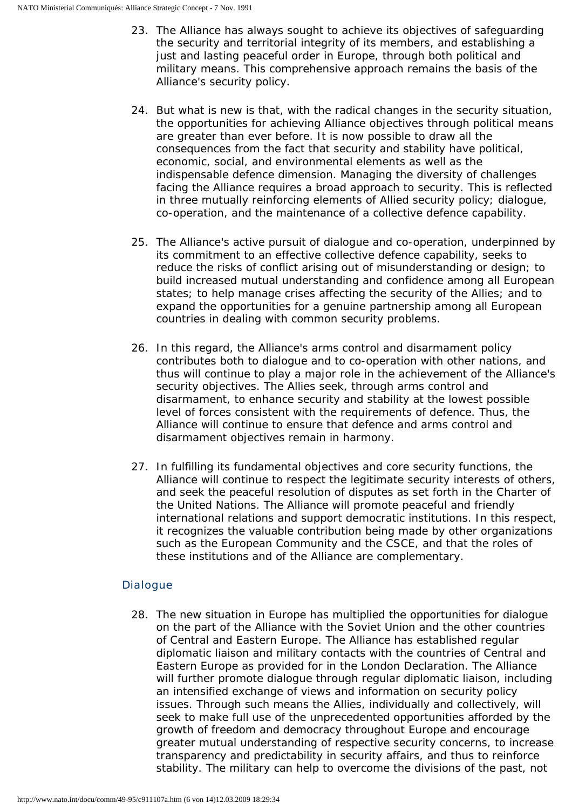- 23. The Alliance has always sought to achieve its objectives of safeguarding the security and territorial integrity of its members, and establishing a just and lasting peaceful order in Europe, through both political and military means. This comprehensive approach remains the basis of the Alliance's security policy.
- 24. But what is new is that, with the radical changes in the security situation, the opportunities for achieving Alliance objectives through political means are greater than ever before. It is now possible to draw all the consequences from the fact that security and stability have political, economic, social, and environmental elements as well as the indispensable defence dimension. Managing the diversity of challenges facing the Alliance requires a broad approach to security. This is reflected in three mutually reinforcing elements of Allied security policy; dialogue, co-operation, and the maintenance of a collective defence capability.
- 25. The Alliance's active pursuit of dialogue and co-operation, underpinned by its commitment to an effective collective defence capability, seeks to reduce the risks of conflict arising out of misunderstanding or design; to build increased mutual understanding and confidence among all European states; to help manage crises affecting the security of the Allies; and to expand the opportunities for a genuine partnership among all European countries in dealing with common security problems.
- 26. In this regard, the Alliance's arms control and disarmament policy contributes both to dialogue and to co-operation with other nations, and thus will continue to play a major role in the achievement of the Alliance's security objectives. The Allies seek, through arms control and disarmament, to enhance security and stability at the lowest possible level of forces consistent with the requirements of defence. Thus, the Alliance will continue to ensure that defence and arms control and disarmament objectives remain in harmony.
- 27. In fulfilling its fundamental objectives and core security functions, the Alliance will continue to respect the legitimate security interests of others, and seek the peaceful resolution of disputes as set forth in the Charter of the United Nations. The Alliance will promote peaceful and friendly international relations and support democratic institutions. In this respect, it recognizes the valuable contribution being made by other organizations such as the European Community and the CSCE, and that the roles of these institutions and of the Alliance are complementary.

### **Dialogue**

28. The new situation in Europe has multiplied the opportunities for dialogue on the part of the Alliance with the Soviet Union and the other countries of Central and Eastern Europe. The Alliance has established regular diplomatic liaison and military contacts with the countries of Central and Eastern Europe as provided for in the London Declaration. The Alliance will further promote dialogue through regular diplomatic liaison, including an intensified exchange of views and information on security policy issues. Through such means the Allies, individually and collectively, will seek to make full use of the unprecedented opportunities afforded by the growth of freedom and democracy throughout Europe and encourage greater mutual understanding of respective security concerns, to increase transparency and predictability in security affairs, and thus to reinforce stability. The military can help to overcome the divisions of the past, not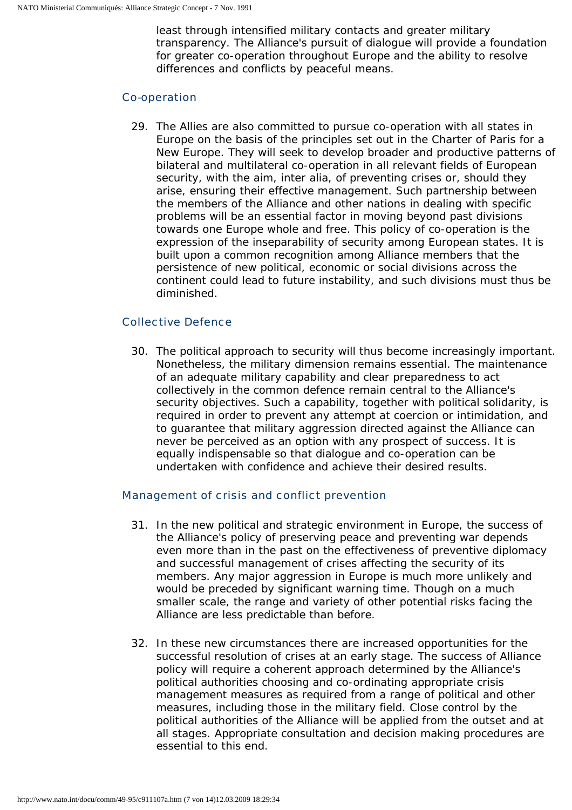least through intensified military contacts and greater military transparency. The Alliance's pursuit of dialogue will provide a foundation for greater co-operation throughout Europe and the ability to resolve differences and conflicts by peaceful means.

#### Co-operation

29. The Allies are also committed to pursue co-operation with all states in Europe on the basis of the principles set out in the Charter of Paris for a New Europe. They will seek to develop broader and productive patterns of bilateral and multilateral co-operation in all relevant fields of European security, with the aim, inter alia, of preventing crises or, should they arise, ensuring their effective management. Such partnership between the members of the Alliance and other nations in dealing with specific problems will be an essential factor in moving beyond past divisions towards one Europe whole and free. This policy of co-operation is the expression of the inseparability of security among European states. It is built upon a common recognition among Alliance members that the persistence of new political, economic or social divisions across the continent could lead to future instability, and such divisions must thus be diminished.

#### Collective Defence

30. The political approach to security will thus become increasingly important. Nonetheless, the military dimension remains essential. The maintenance of an adequate military capability and clear preparedness to act collectively in the common defence remain central to the Alliance's security objectives. Such a capability, together with political solidarity, is required in order to prevent any attempt at coercion or intimidation, and to guarantee that military aggression directed against the Alliance can never be perceived as an option with any prospect of success. It is equally indispensable so that dialogue and co-operation can be undertaken with confidence and achieve their desired results.

#### Management of crisis and conflict prevention

- 31. In the new political and strategic environment in Europe, the success of the Alliance's policy of preserving peace and preventing war depends even more than in the past on the effectiveness of preventive diplomacy and successful management of crises affecting the security of its members. Any major aggression in Europe is much more unlikely and would be preceded by significant warning time. Though on a much smaller scale, the range and variety of other potential risks facing the Alliance are less predictable than before.
- 32. In these new circumstances there are increased opportunities for the successful resolution of crises at an early stage. The success of Alliance policy will require a coherent approach determined by the Alliance's political authorities choosing and co-ordinating appropriate crisis management measures as required from a range of political and other measures, including those in the military field. Close control by the political authorities of the Alliance will be applied from the outset and at all stages. Appropriate consultation and decision making procedures are essential to this end.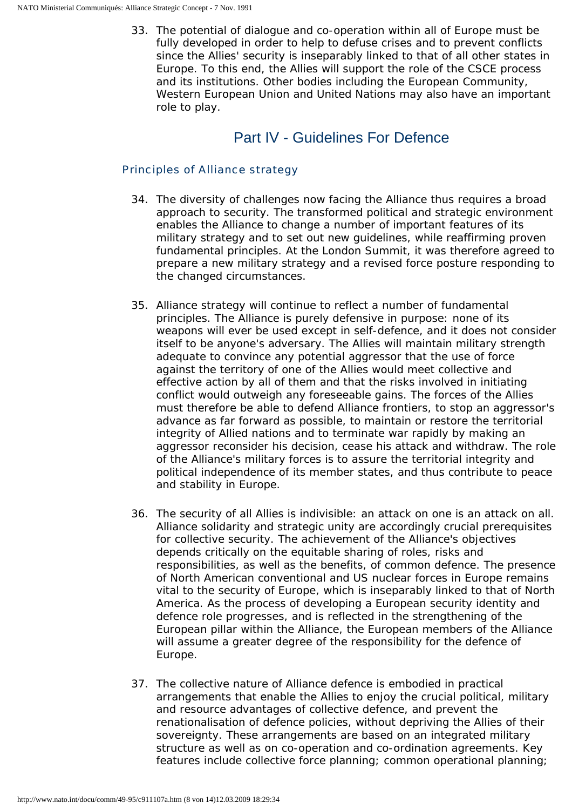33. The potential of dialogue and co-operation within all of Europe must be fully developed in order to help to defuse crises and to prevent conflicts since the Allies' security is inseparably linked to that of all other states in Europe. To this end, the Allies will support the role of the CSCE process and its institutions. Other bodies including the European Community, Western European Union and United Nations may also have an important role to play.

# Part IV - Guidelines For Defence

#### <span id="page-7-0"></span>Principles of Alliance strategy

- 34. The diversity of challenges now facing the Alliance thus requires a broad approach to security. The transformed political and strategic environment enables the Alliance to change a number of important features of its military strategy and to set out new guidelines, while reaffirming proven fundamental principles. At the London Summit, it was therefore agreed to prepare a new military strategy and a revised force posture responding to the changed circumstances.
- 35. Alliance strategy will continue to reflect a number of fundamental principles. The Alliance is purely defensive in purpose: none of its weapons will ever be used except in self-defence, and it does not consider itself to be anyone's adversary. The Allies will maintain military strength adequate to convince any potential aggressor that the use of force against the territory of one of the Allies would meet collective and effective action by all of them and that the risks involved in initiating conflict would outweigh any foreseeable gains. The forces of the Allies must therefore be able to defend Alliance frontiers, to stop an aggressor's advance as far forward as possible, to maintain or restore the territorial integrity of Allied nations and to terminate war rapidly by making an aggressor reconsider his decision, cease his attack and withdraw. The role of the Alliance's military forces is to assure the territorial integrity and political independence of its member states, and thus contribute to peace and stability in Europe.
- 36. The security of all Allies is indivisible: an attack on one is an attack on all. Alliance solidarity and strategic unity are accordingly crucial prerequisites for collective security. The achievement of the Alliance's objectives depends critically on the equitable sharing of roles, risks and responsibilities, as well as the benefits, of common defence. The presence of North American conventional and US nuclear forces in Europe remains vital to the security of Europe, which is inseparably linked to that of North America. As the process of developing a European security identity and defence role progresses, and is reflected in the strengthening of the European pillar within the Alliance, the European members of the Alliance will assume a greater degree of the responsibility for the defence of Europe.
- 37. The collective nature of Alliance defence is embodied in practical arrangements that enable the Allies to enjoy the crucial political, military and resource advantages of collective defence, and prevent the renationalisation of defence policies, without depriving the Allies of their sovereignty. These arrangements are based on an integrated military structure as well as on co-operation and co-ordination agreements. Key features include collective force planning; common operational planning;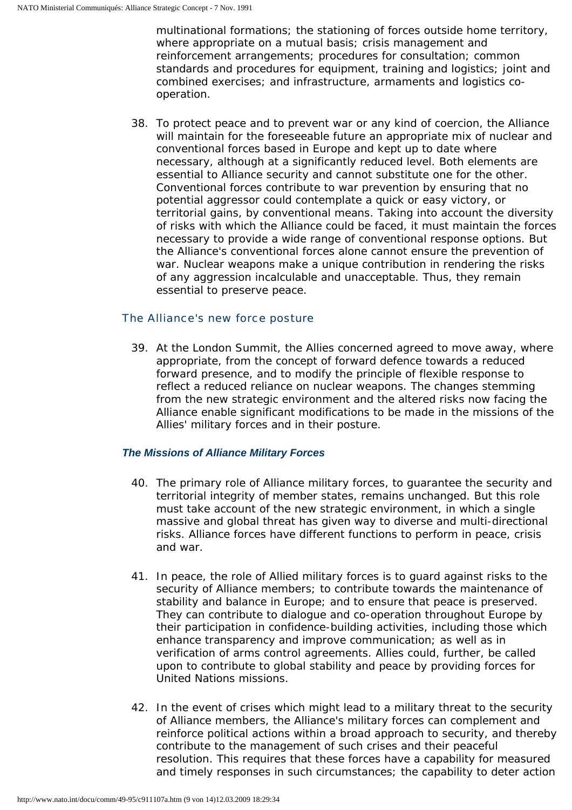multinational formations; the stationing of forces outside home territory, where appropriate on a mutual basis; crisis management and reinforcement arrangements; procedures for consultation; common standards and procedures for equipment, training and logistics; joint and combined exercises; and infrastructure, armaments and logistics cooperation.

38. To protect peace and to prevent war or any kind of coercion, the Alliance will maintain for the foreseeable future an appropriate mix of nuclear and conventional forces based in Europe and kept up to date where necessary, although at a significantly reduced level. Both elements are essential to Alliance security and cannot substitute one for the other. Conventional forces contribute to war prevention by ensuring that no potential aggressor could contemplate a quick or easy victory, or territorial gains, by conventional means. Taking into account the diversity of risks with which the Alliance could be faced, it must maintain the forces necessary to provide a wide range of conventional response options. But the Alliance's conventional forces alone cannot ensure the prevention of war. Nuclear weapons make a unique contribution in rendering the risks of any aggression incalculable and unacceptable. Thus, they remain essential to preserve peace.

#### The Alliance's new force posture

39. At the London Summit, the Allies concerned agreed to move away, where appropriate, from the concept of forward defence towards a reduced forward presence, and to modify the principle of flexible response to reflect a reduced reliance on nuclear weapons. The changes stemming from the new strategic environment and the altered risks now facing the Alliance enable significant modifications to be made in the missions of the Allies' military forces and in their posture.

#### *The Missions of Alliance Military Forces*

- 40. The primary role of Alliance military forces, to guarantee the security and territorial integrity of member states, remains unchanged. But this role must take account of the new strategic environment, in which a single massive and global threat has given way to diverse and multi-directional risks. Alliance forces have different functions to perform in peace, crisis and war.
- 41. In peace, the role of Allied military forces is to guard against risks to the security of Alliance members; to contribute towards the maintenance of stability and balance in Europe; and to ensure that peace is preserved. They can contribute to dialogue and co-operation throughout Europe by their participation in confidence-building activities, including those which enhance transparency and improve communication; as well as in verification of arms control agreements. Allies could, further, be called upon to contribute to global stability and peace by providing forces for United Nations missions.
- 42. In the event of crises which might lead to a military threat to the security of Alliance members, the Alliance's military forces can complement and reinforce political actions within a broad approach to security, and thereby contribute to the management of such crises and their peaceful resolution. This requires that these forces have a capability for measured and timely responses in such circumstances; the capability to deter action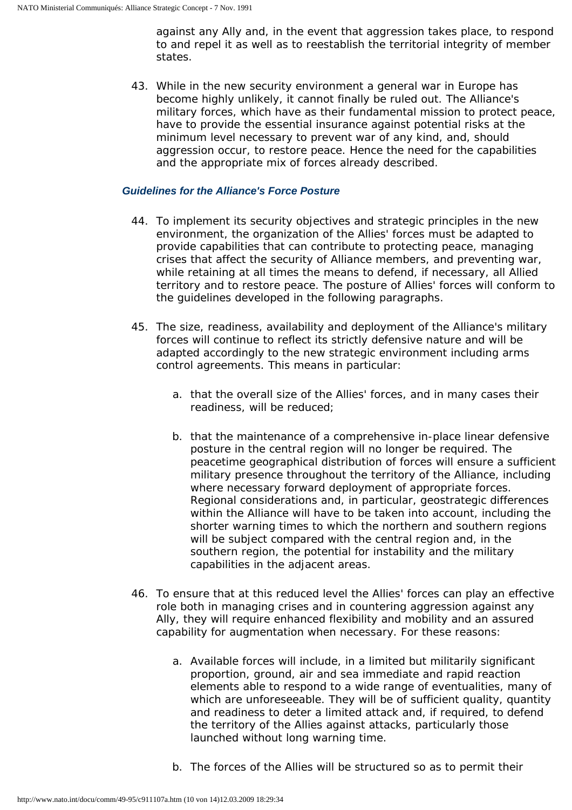against any Ally and, in the event that aggression takes place, to respond to and repel it as well as to reestablish the territorial integrity of member states.

43. While in the new security environment a general war in Europe has become highly unlikely, it cannot finally be ruled out. The Alliance's military forces, which have as their fundamental mission to protect peace, have to provide the essential insurance against potential risks at the minimum level necessary to prevent war of any kind, and, should aggression occur, to restore peace. Hence the need for the capabilities and the appropriate mix of forces already described.

#### *Guidelines for the Alliance's Force Posture*

- 44. To implement its security objectives and strategic principles in the new environment, the organization of the Allies' forces must be adapted to provide capabilities that can contribute to protecting peace, managing crises that affect the security of Alliance members, and preventing war, while retaining at all times the means to defend, if necessary, all Allied territory and to restore peace. The posture of Allies' forces will conform to the guidelines developed in the following paragraphs.
- 45. The size, readiness, availability and deployment of the Alliance's military forces will continue to reflect its strictly defensive nature and will be adapted accordingly to the new strategic environment including arms control agreements. This means in particular:
	- a. that the overall size of the Allies' forces, and in many cases their readiness, will be reduced;
	- b. that the maintenance of a comprehensive in-place linear defensive posture in the central region will no longer be required. The peacetime geographical distribution of forces will ensure a sufficient military presence throughout the territory of the Alliance, including where necessary forward deployment of appropriate forces. Regional considerations and, in particular, geostrategic differences within the Alliance will have to be taken into account, including the shorter warning times to which the northern and southern regions will be subject compared with the central region and, in the southern region, the potential for instability and the military capabilities in the adjacent areas.
- 46. To ensure that at this reduced level the Allies' forces can play an effective role both in managing crises and in countering aggression against any Ally, they will require enhanced flexibility and mobility and an assured capability for augmentation when necessary. For these reasons:
	- a. Available forces will include, in a limited but militarily significant proportion, ground, air and sea immediate and rapid reaction elements able to respond to a wide range of eventualities, many of which are unforeseeable. They will be of sufficient quality, quantity and readiness to deter a limited attack and, if required, to defend the territory of the Allies against attacks, particularly those launched without long warning time.
	- b. The forces of the Allies will be structured so as to permit their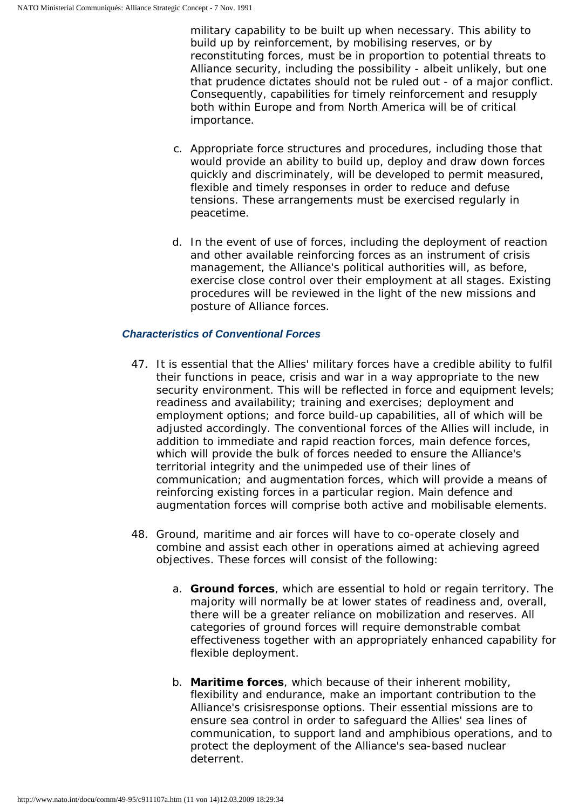military capability to be built up when necessary. This ability to build up by reinforcement, by mobilising reserves, or by reconstituting forces, must be in proportion to potential threats to Alliance security, including the possibility - albeit unlikely, but one that prudence dictates should not be ruled out - of a major conflict. Consequently, capabilities for timely reinforcement and resupply both within Europe and from North America will be of critical importance.

- c. Appropriate force structures and procedures, including those that would provide an ability to build up, deploy and draw down forces quickly and discriminately, will be developed to permit measured, flexible and timely responses in order to reduce and defuse tensions. These arrangements must be exercised regularly in peacetime.
- d. In the event of use of forces, including the deployment of reaction and other available reinforcing forces as an instrument of crisis management, the Alliance's political authorities will, as before, exercise close control over their employment at all stages. Existing procedures will be reviewed in the light of the new missions and posture of Alliance forces.

#### *Characteristics of Conventional Forces*

- 47. It is essential that the Allies' military forces have a credible ability to fulfil their functions in peace, crisis and war in a way appropriate to the new security environment. This will be reflected in force and equipment levels; readiness and availability; training and exercises; deployment and employment options; and force build-up capabilities, all of which will be adjusted accordingly. The conventional forces of the Allies will include, in addition to immediate and rapid reaction forces, main defence forces, which will provide the bulk of forces needed to ensure the Alliance's territorial integrity and the unimpeded use of their lines of communication; and augmentation forces, which will provide a means of reinforcing existing forces in a particular region. Main defence and augmentation forces will comprise both active and mobilisable elements.
- 48. Ground, maritime and air forces will have to co-operate closely and combine and assist each other in operations aimed at achieving agreed objectives. These forces will consist of the following:
	- a. **Ground forces**, which are essential to hold or regain territory. The majority will normally be at lower states of readiness and, overall, there will be a greater reliance on mobilization and reserves. All categories of ground forces will require demonstrable combat effectiveness together with an appropriately enhanced capability for flexible deployment.
	- b. **Maritime forces**, which because of their inherent mobility, flexibility and endurance, make an important contribution to the Alliance's crisisresponse options. Their essential missions are to ensure sea control in order to safeguard the Allies' sea lines of communication, to support land and amphibious operations, and to protect the deployment of the Alliance's sea-based nuclear deterrent.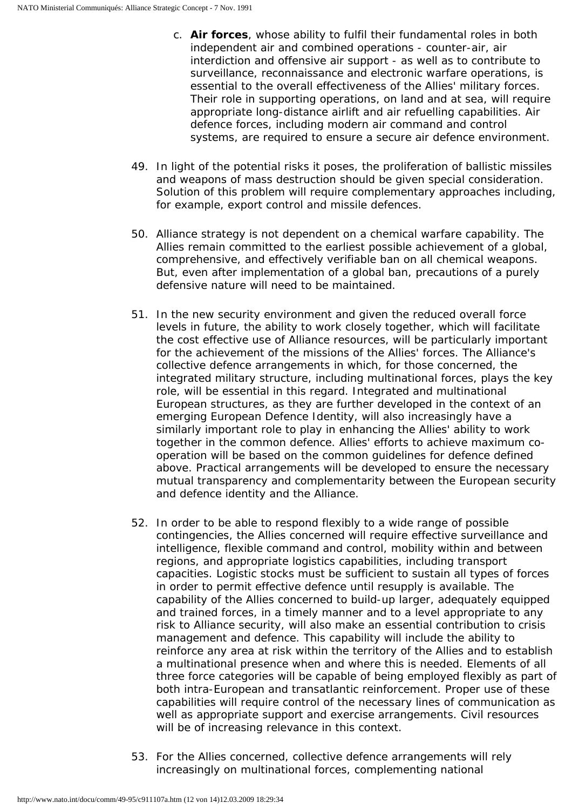- c. **Air forces**, whose ability to fulfil their fundamental roles in both independent air and combined operations - counter-air, air interdiction and offensive air support - as well as to contribute to surveillance, reconnaissance and electronic warfare operations, is essential to the overall effectiveness of the Allies' military forces. Their role in supporting operations, on land and at sea, will require appropriate long-distance airlift and air refuelling capabilities. Air defence forces, including modern air command and control systems, are required to ensure a secure air defence environment.
- 49. In light of the potential risks it poses, the proliferation of ballistic missiles and weapons of mass destruction should be given special consideration. Solution of this problem will require complementary approaches including, for example, export control and missile defences.
- 50. Alliance strategy is not dependent on a chemical warfare capability. The Allies remain committed to the earliest possible achievement of a global, comprehensive, and effectively verifiable ban on all chemical weapons. But, even after implementation of a global ban, precautions of a purely defensive nature will need to be maintained.
- 51. In the new security environment and given the reduced overall force levels in future, the ability to work closely together, which will facilitate the cost effective use of Alliance resources, will be particularly important for the achievement of the missions of the Allies' forces. The Alliance's collective defence arrangements in which, for those concerned, the integrated military structure, including multinational forces, plays the key role, will be essential in this regard. Integrated and multinational European structures, as they are further developed in the context of an emerging European Defence Identity, will also increasingly have a similarly important role to play in enhancing the Allies' ability to work together in the common defence. Allies' efforts to achieve maximum cooperation will be based on the common guidelines for defence defined above. Practical arrangements will be developed to ensure the necessary mutual transparency and complementarity between the European security and defence identity and the Alliance.
- 52. In order to be able to respond flexibly to a wide range of possible contingencies, the Allies concerned will require effective surveillance and intelligence, flexible command and control, mobility within and between regions, and appropriate logistics capabilities, including transport capacities. Logistic stocks must be sufficient to sustain all types of forces in order to permit effective defence until resupply is available. The capability of the Allies concerned to build-up larger, adequately equipped and trained forces, in a timely manner and to a level appropriate to any risk to Alliance security, will also make an essential contribution to crisis management and defence. This capability will include the ability to reinforce any area at risk within the territory of the Allies and to establish a multinational presence when and where this is needed. Elements of all three force categories will be capable of being employed flexibly as part of both intra-European and transatlantic reinforcement. Proper use of these capabilities will require control of the necessary lines of communication as well as appropriate support and exercise arrangements. Civil resources will be of increasing relevance in this context.
- 53. For the Allies concerned, collective defence arrangements will rely increasingly on multinational forces, complementing national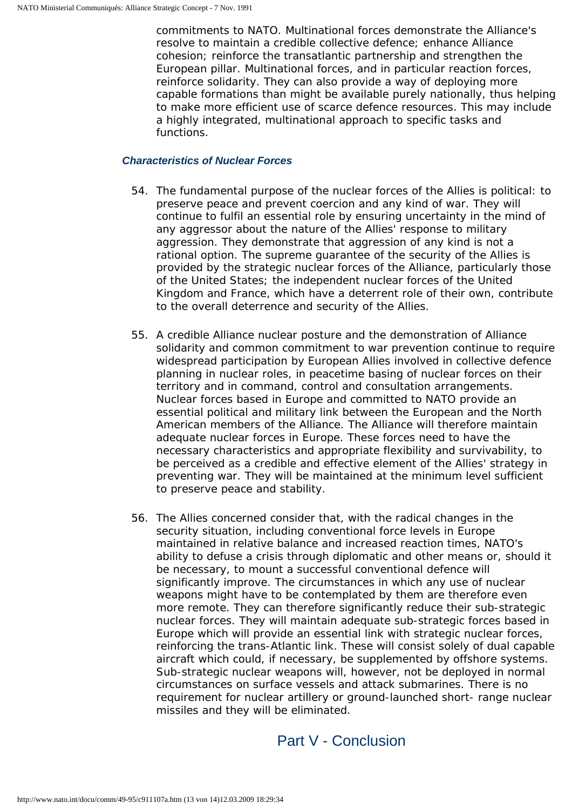commitments to NATO. Multinational forces demonstrate the Alliance's resolve to maintain a credible collective defence; enhance Alliance cohesion; reinforce the transatlantic partnership and strengthen the European pillar. Multinational forces, and in particular reaction forces, reinforce solidarity. They can also provide a way of deploying more capable formations than might be available purely nationally, thus helping to make more efficient use of scarce defence resources. This may include a highly integrated, multinational approach to specific tasks and functions.

#### *Characteristics of Nuclear Forces*

- 54. The fundamental purpose of the nuclear forces of the Allies is political: to preserve peace and prevent coercion and any kind of war. They will continue to fulfil an essential role by ensuring uncertainty in the mind of any aggressor about the nature of the Allies' response to military aggression. They demonstrate that aggression of any kind is not a rational option. The supreme guarantee of the security of the Allies is provided by the strategic nuclear forces of the Alliance, particularly those of the United States; the independent nuclear forces of the United Kingdom and France, which have a deterrent role of their own, contribute to the overall deterrence and security of the Allies.
- 55. A credible Alliance nuclear posture and the demonstration of Alliance solidarity and common commitment to war prevention continue to require widespread participation by European Allies involved in collective defence planning in nuclear roles, in peacetime basing of nuclear forces on their territory and in command, control and consultation arrangements. Nuclear forces based in Europe and committed to NATO provide an essential political and military link between the European and the North American members of the Alliance. The Alliance will therefore maintain adequate nuclear forces in Europe. These forces need to have the necessary characteristics and appropriate flexibility and survivability, to be perceived as a credible and effective element of the Allies' strategy in preventing war. They will be maintained at the minimum level sufficient to preserve peace and stability.
- <span id="page-12-0"></span>56. The Allies concerned consider that, with the radical changes in the security situation, including conventional force levels in Europe maintained in relative balance and increased reaction times, NATO's ability to defuse a crisis through diplomatic and other means or, should it be necessary, to mount a successful conventional defence will significantly improve. The circumstances in which any use of nuclear weapons might have to be contemplated by them are therefore even more remote. They can therefore significantly reduce their sub-strategic nuclear forces. They will maintain adequate sub-strategic forces based in Europe which will provide an essential link with strategic nuclear forces, reinforcing the trans-Atlantic link. These will consist solely of dual capable aircraft which could, if necessary, be supplemented by offshore systems. Sub-strategic nuclear weapons will, however, not be deployed in normal circumstances on surface vessels and attack submarines. There is no requirement for nuclear artillery or ground-launched short- range nuclear missiles and they will be eliminated.

### Part V - Conclusion